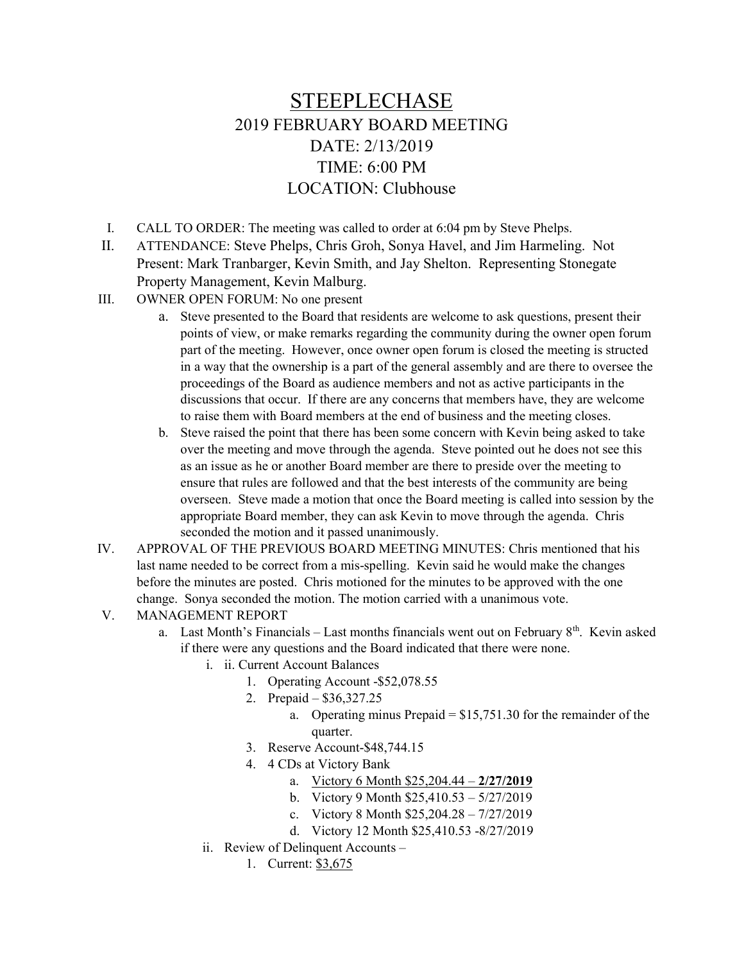## STEEPLECHASE 2019 FEBRUARY BOARD MEETING DATE: 2/13/2019 TIME: 6:00 PM LOCATION: Clubhouse

- I. CALL TO ORDER: The meeting was called to order at 6:04 pm by Steve Phelps.
- II. ATTENDANCE: Steve Phelps, Chris Groh, Sonya Havel, and Jim Harmeling. Not Present: Mark Tranbarger, Kevin Smith, and Jay Shelton. Representing Stonegate Property Management, Kevin Malburg.
- III. OWNER OPEN FORUM: No one present
	- a. Steve presented to the Board that residents are welcome to ask questions, present their points of view, or make remarks regarding the community during the owner open forum part of the meeting. However, once owner open forum is closed the meeting is structed in a way that the ownership is a part of the general assembly and are there to oversee the proceedings of the Board as audience members and not as active participants in the discussions that occur. If there are any concerns that members have, they are welcome to raise them with Board members at the end of business and the meeting closes.
	- b. Steve raised the point that there has been some concern with Kevin being asked to take over the meeting and move through the agenda. Steve pointed out he does not see this as an issue as he or another Board member are there to preside over the meeting to ensure that rules are followed and that the best interests of the community are being overseen. Steve made a motion that once the Board meeting is called into session by the appropriate Board member, they can ask Kevin to move through the agenda. Chris seconded the motion and it passed unanimously.
- IV. APPROVAL OF THE PREVIOUS BOARD MEETING MINUTES: Chris mentioned that his last name needed to be correct from a mis-spelling. Kevin said he would make the changes before the minutes are posted. Chris motioned for the minutes to be approved with the one change. Sonya seconded the motion. The motion carried with a unanimous vote.

## V. MANAGEMENT REPORT

- a. Last Month's Financials Last months financials went out on February  $8<sup>th</sup>$ . Kevin asked if there were any questions and the Board indicated that there were none.
	- i. ii. Current Account Balances
		- 1. Operating Account -\$52,078.55
		- 2. Prepaid \$36,327.25
			- a. Operating minus Prepaid = \$15,751.30 for the remainder of the quarter.
		- 3. Reserve Account-\$48,744.15
		- 4. 4 CDs at Victory Bank
			- a. Victory 6 Month \$25,204.44 2/27/2019
			- b. Victory 9 Month \$25,410.53 5/27/2019
			- c. Victory 8 Month \$25,204.28 7/27/2019
			- d. Victory 12 Month \$25,410.53 -8/27/2019
	- ii. Review of Delinquent Accounts
		- 1. Current: \$3,675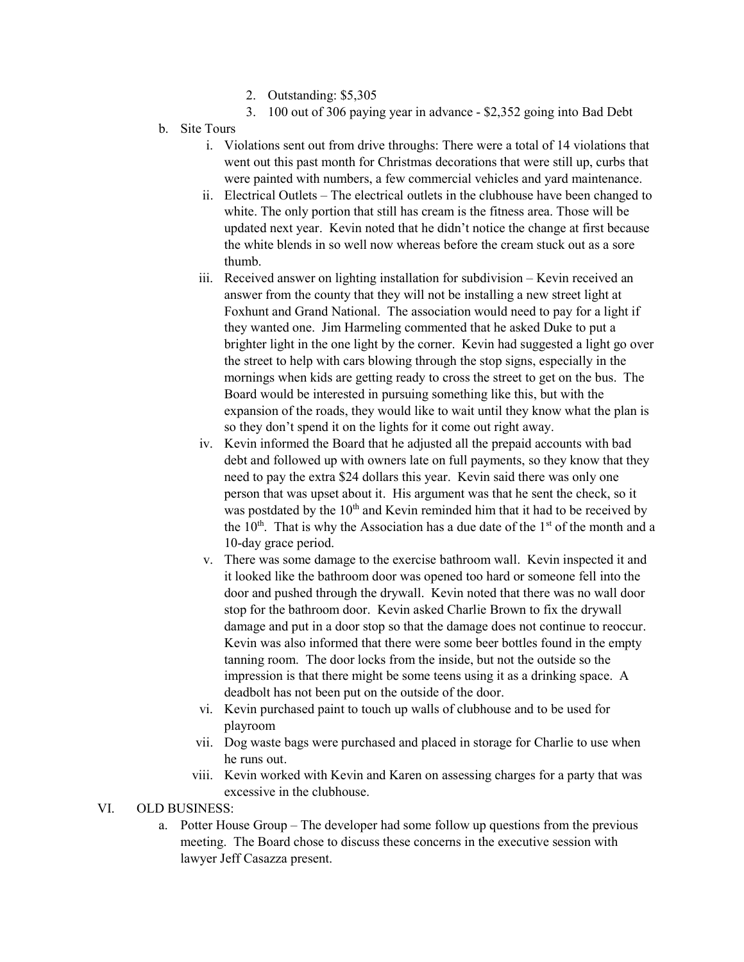- 2. Outstanding: \$5,305
- 3. 100 out of 306 paying year in advance \$2,352 going into Bad Debt
- b. Site Tours
	- i. Violations sent out from drive throughs: There were a total of 14 violations that went out this past month for Christmas decorations that were still up, curbs that were painted with numbers, a few commercial vehicles and yard maintenance.
	- ii. Electrical Outlets The electrical outlets in the clubhouse have been changed to white. The only portion that still has cream is the fitness area. Those will be updated next year. Kevin noted that he didn't notice the change at first because the white blends in so well now whereas before the cream stuck out as a sore thumb.
	- iii. Received answer on lighting installation for subdivision Kevin received an answer from the county that they will not be installing a new street light at Foxhunt and Grand National. The association would need to pay for a light if they wanted one. Jim Harmeling commented that he asked Duke to put a brighter light in the one light by the corner. Kevin had suggested a light go over the street to help with cars blowing through the stop signs, especially in the mornings when kids are getting ready to cross the street to get on the bus. The Board would be interested in pursuing something like this, but with the expansion of the roads, they would like to wait until they know what the plan is so they don't spend it on the lights for it come out right away.
	- iv. Kevin informed the Board that he adjusted all the prepaid accounts with bad debt and followed up with owners late on full payments, so they know that they need to pay the extra \$24 dollars this year. Kevin said there was only one person that was upset about it. His argument was that he sent the check, so it was postdated by the  $10<sup>th</sup>$  and Kevin reminded him that it had to be received by the  $10<sup>th</sup>$ . That is why the Association has a due date of the  $1<sup>st</sup>$  of the month and a 10-day grace period.
	- v. There was some damage to the exercise bathroom wall. Kevin inspected it and it looked like the bathroom door was opened too hard or someone fell into the door and pushed through the drywall. Kevin noted that there was no wall door stop for the bathroom door. Kevin asked Charlie Brown to fix the drywall damage and put in a door stop so that the damage does not continue to reoccur. Kevin was also informed that there were some beer bottles found in the empty tanning room. The door locks from the inside, but not the outside so the impression is that there might be some teens using it as a drinking space. A deadbolt has not been put on the outside of the door.
	- vi. Kevin purchased paint to touch up walls of clubhouse and to be used for playroom
	- vii. Dog waste bags were purchased and placed in storage for Charlie to use when he runs out.
	- viii. Kevin worked with Kevin and Karen on assessing charges for a party that was excessive in the clubhouse.

## VI. OLD BUSINESS:

a. Potter House Group – The developer had some follow up questions from the previous meeting. The Board chose to discuss these concerns in the executive session with lawyer Jeff Casazza present.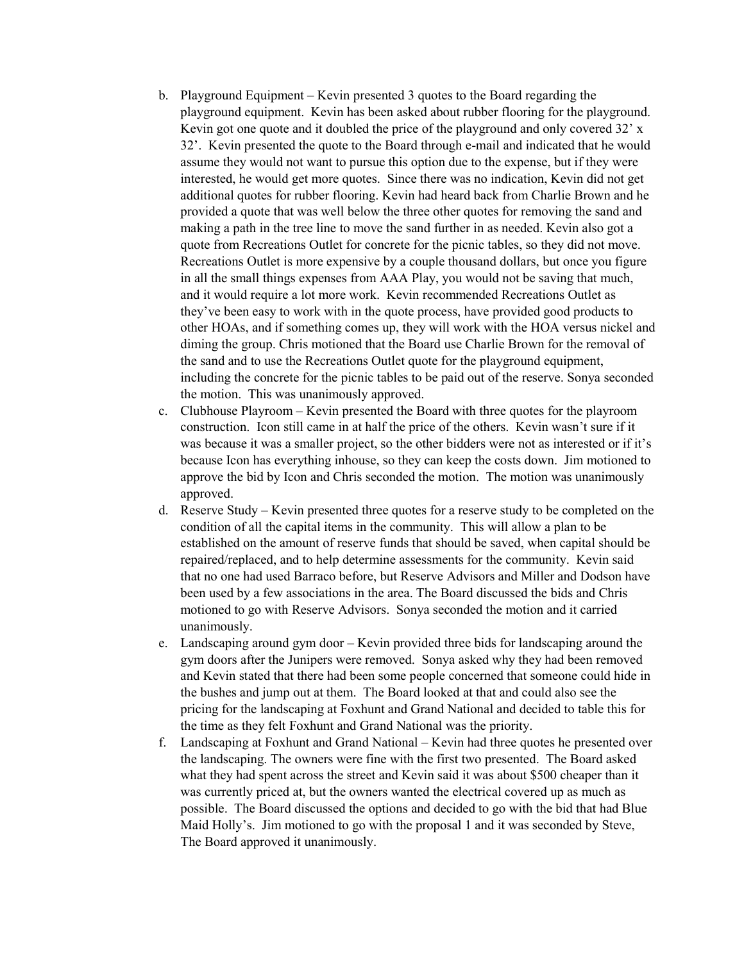- b. Playground Equipment Kevin presented 3 quotes to the Board regarding the playground equipment. Kevin has been asked about rubber flooring for the playground. Kevin got one quote and it doubled the price of the playground and only covered 32' x 32'. Kevin presented the quote to the Board through e-mail and indicated that he would assume they would not want to pursue this option due to the expense, but if they were interested, he would get more quotes. Since there was no indication, Kevin did not get additional quotes for rubber flooring. Kevin had heard back from Charlie Brown and he provided a quote that was well below the three other quotes for removing the sand and making a path in the tree line to move the sand further in as needed. Kevin also got a quote from Recreations Outlet for concrete for the picnic tables, so they did not move. Recreations Outlet is more expensive by a couple thousand dollars, but once you figure in all the small things expenses from AAA Play, you would not be saving that much, and it would require a lot more work. Kevin recommended Recreations Outlet as they've been easy to work with in the quote process, have provided good products to other HOAs, and if something comes up, they will work with the HOA versus nickel and diming the group. Chris motioned that the Board use Charlie Brown for the removal of the sand and to use the Recreations Outlet quote for the playground equipment, including the concrete for the picnic tables to be paid out of the reserve. Sonya seconded the motion. This was unanimously approved.
- c. Clubhouse Playroom Kevin presented the Board with three quotes for the playroom construction. Icon still came in at half the price of the others. Kevin wasn't sure if it was because it was a smaller project, so the other bidders were not as interested or if it's because Icon has everything inhouse, so they can keep the costs down. Jim motioned to approve the bid by Icon and Chris seconded the motion. The motion was unanimously approved.
- d. Reserve Study Kevin presented three quotes for a reserve study to be completed on the condition of all the capital items in the community. This will allow a plan to be established on the amount of reserve funds that should be saved, when capital should be repaired/replaced, and to help determine assessments for the community. Kevin said that no one had used Barraco before, but Reserve Advisors and Miller and Dodson have been used by a few associations in the area. The Board discussed the bids and Chris motioned to go with Reserve Advisors. Sonya seconded the motion and it carried unanimously.
- e. Landscaping around gym door Kevin provided three bids for landscaping around the gym doors after the Junipers were removed. Sonya asked why they had been removed and Kevin stated that there had been some people concerned that someone could hide in the bushes and jump out at them. The Board looked at that and could also see the pricing for the landscaping at Foxhunt and Grand National and decided to table this for the time as they felt Foxhunt and Grand National was the priority.
- f. Landscaping at Foxhunt and Grand National Kevin had three quotes he presented over the landscaping. The owners were fine with the first two presented. The Board asked what they had spent across the street and Kevin said it was about \$500 cheaper than it was currently priced at, but the owners wanted the electrical covered up as much as possible. The Board discussed the options and decided to go with the bid that had Blue Maid Holly's. Jim motioned to go with the proposal 1 and it was seconded by Steve, The Board approved it unanimously.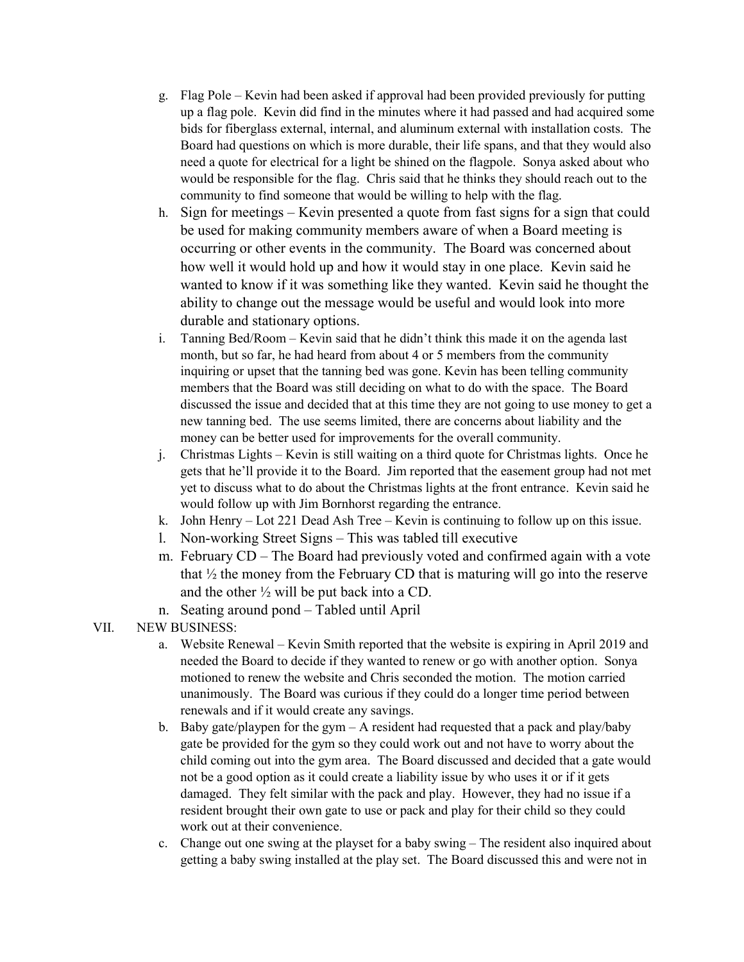- g. Flag Pole Kevin had been asked if approval had been provided previously for putting up a flag pole. Kevin did find in the minutes where it had passed and had acquired some bids for fiberglass external, internal, and aluminum external with installation costs. The Board had questions on which is more durable, their life spans, and that they would also need a quote for electrical for a light be shined on the flagpole. Sonya asked about who would be responsible for the flag. Chris said that he thinks they should reach out to the community to find someone that would be willing to help with the flag.
- h. Sign for meetings Kevin presented a quote from fast signs for a sign that could be used for making community members aware of when a Board meeting is occurring or other events in the community. The Board was concerned about how well it would hold up and how it would stay in one place. Kevin said he wanted to know if it was something like they wanted. Kevin said he thought the ability to change out the message would be useful and would look into more durable and stationary options.
- i. Tanning Bed/Room Kevin said that he didn't think this made it on the agenda last month, but so far, he had heard from about 4 or 5 members from the community inquiring or upset that the tanning bed was gone. Kevin has been telling community members that the Board was still deciding on what to do with the space. The Board discussed the issue and decided that at this time they are not going to use money to get a new tanning bed. The use seems limited, there are concerns about liability and the money can be better used for improvements for the overall community.
- j. Christmas Lights Kevin is still waiting on a third quote for Christmas lights. Once he gets that he'll provide it to the Board. Jim reported that the easement group had not met yet to discuss what to do about the Christmas lights at the front entrance. Kevin said he would follow up with Jim Bornhorst regarding the entrance.
- k. John Henry Lot 221 Dead Ash Tree Kevin is continuing to follow up on this issue.
- l. Non-working Street Signs This was tabled till executive
- m. February CD The Board had previously voted and confirmed again with a vote that  $\frac{1}{2}$  the money from the February CD that is maturing will go into the reserve and the other  $\frac{1}{2}$  will be put back into a CD.
- n. Seating around pond Tabled until April

VII. NEW BUSINESS:

- a. Website Renewal Kevin Smith reported that the website is expiring in April 2019 and needed the Board to decide if they wanted to renew or go with another option. Sonya motioned to renew the website and Chris seconded the motion. The motion carried unanimously. The Board was curious if they could do a longer time period between renewals and if it would create any savings.
- b. Baby gate/playpen for the gym  $A$  resident had requested that a pack and play/baby gate be provided for the gym so they could work out and not have to worry about the child coming out into the gym area. The Board discussed and decided that a gate would not be a good option as it could create a liability issue by who uses it or if it gets damaged. They felt similar with the pack and play. However, they had no issue if a resident brought their own gate to use or pack and play for their child so they could work out at their convenience.
- c. Change out one swing at the playset for a baby swing The resident also inquired about getting a baby swing installed at the play set. The Board discussed this and were not in